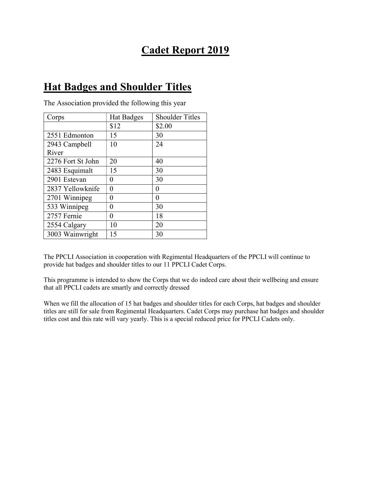## Cadet Report 2019

## Hat Badges and Shoulder Titles

| Corps             | <b>Hat Badges</b> | <b>Shoulder Titles</b> |  |
|-------------------|-------------------|------------------------|--|
|                   | \$12              | \$2.00                 |  |
| 2551 Edmonton     | 15                | 30                     |  |
| 2943 Campbell     | 10                | 24                     |  |
| River             |                   |                        |  |
| 2276 Fort St John | 20                | 40                     |  |
| 2483 Esquimalt    | 15                | 30                     |  |
| 2901 Estevan      | 0                 | 30                     |  |
| 2837 Yellowknife  | 0                 | 0                      |  |
| 2701 Winnipeg     | 0                 | 0                      |  |
| 533 Winnipeg      | 0                 | 30                     |  |
| 2757 Fernie       | 0                 | 18                     |  |
| 2554 Calgary      | 10                | 20                     |  |
| 3003 Wainwright   | 15                | 30                     |  |

The Association provided the following this year

The PPCLI Association in cooperation with Regimental Headquarters of the PPCLI will continue to provide hat badges and shoulder titles to our 11 PPCLI Cadet Corps.

This programme is intended to show the Corps that we do indeed care about their wellbeing and ensure that all PPCLI cadets are smartly and correctly dressed

When we fill the allocation of 15 hat badges and shoulder titles for each Corps, hat badges and shoulder titles are still for sale from Regimental Headquarters. Cadet Corps may purchase hat badges and shoulder titles cost and this rate will vary yearly. This is a special reduced price for PPCLI Cadets only.